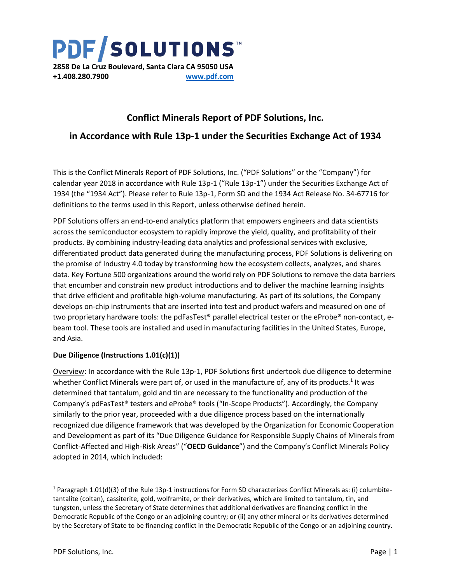**PDF/SOLUTIONS 2858 De La Cruz Boulevard, Santa Clara CA 95050 USA +1.408.280.7900 [www.pdf.com](http://www.pdf.com/)**

## **Conflict Minerals Report of PDF Solutions, Inc.**

### **in Accordance with Rule 13p-1 under the Securities Exchange Act of 1934**

This is the Conflict Minerals Report of PDF Solutions, Inc. ("PDF Solutions" or the "Company") for calendar year 2018 in accordance with Rule 13p-1 ("Rule 13p-1") under the Securities Exchange Act of 1934 (the "1934 Act"). Please refer to Rule 13p-1, Form SD and the 1934 Act Release No. 34-67716 for definitions to the terms used in this Report, unless otherwise defined herein.

PDF Solutions offers an end-to-end analytics platform that empowers engineers and data scientists across the semiconductor ecosystem to rapidly improve the yield, quality, and profitability of their products. By combining industry-leading data analytics and professional services with exclusive, differentiated product data generated during the manufacturing process, PDF Solutions is delivering on the promise of Industry 4.0 today by transforming how the ecosystem collects, analyzes, and shares data. Key Fortune 500 organizations around the world rely on PDF Solutions to remove the data barriers that encumber and constrain new product introductions and to deliver the machine learning insights that drive efficient and profitable high-volume manufacturing. As part of its solutions, the Company develops on-chip instruments that are inserted into test and product wafers and measured on one of two proprietary hardware tools: the pdFasTest® parallel electrical tester or the eProbe® non-contact, ebeam tool. These tools are installed and used in manufacturing facilities in the United States, Europe, and Asia.

#### **Due Diligence (Instructions 1.01(c)(1))**

Overview: In accordance with the Rule 13p-1, PDF Solutions first undertook due diligence to determine whether Conflict Minerals were part of, or used in the manufacture of, any of its products.<sup>1</sup> It was determined that tantalum, gold and tin are necessary to the functionality and production of the Company's pdFasTest® testers and eProbe® tools ("In-Scope Products"). Accordingly, the Company similarly to the prior year, proceeded with a due diligence process based on the internationally recognized due diligence framework that was developed by the Organization for Economic Cooperation and Development as part of its "Due Diligence Guidance for Responsible Supply Chains of Minerals from Conflict-Affected and High-Risk Areas" ("**OECD Guidance**") and the Company's Conflict Minerals Policy adopted in 2014, which included:

l

<sup>&</sup>lt;sup>1</sup> Paragraph 1.01(d)(3) of the Rule 13p-1 instructions for Form SD characterizes Conflict Minerals as: (i) columbitetantalite (coltan), cassiterite, gold, wolframite, or their derivatives, which are limited to tantalum, tin, and tungsten, unless the Secretary of State determines that additional derivatives are financing conflict in the Democratic Republic of the Congo or an adjoining country; or (ii) any other mineral or its derivatives determined by the Secretary of State to be financing conflict in the Democratic Republic of the Congo or an adjoining country.